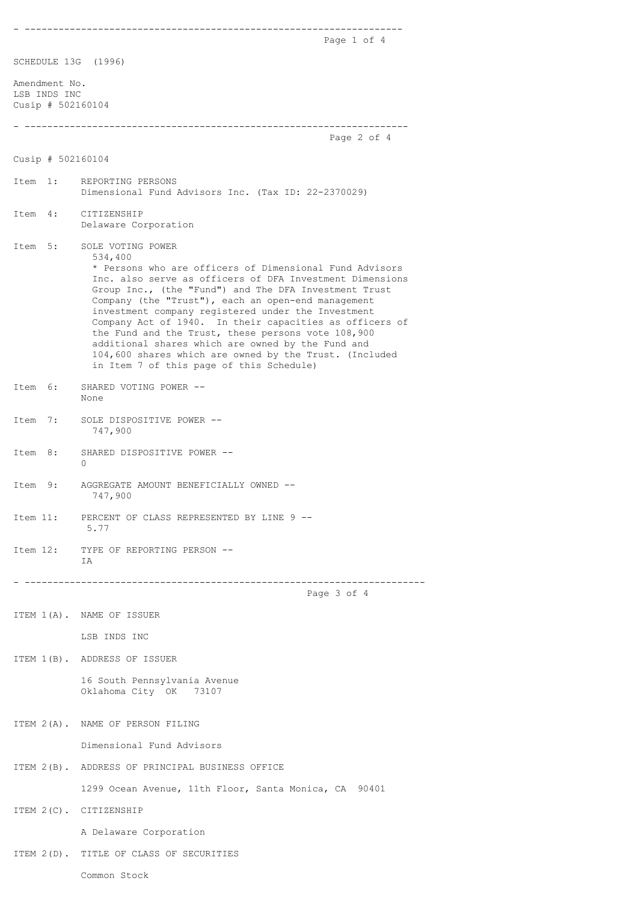- -------------------------------------------------------------------

Page 1 of 4

SCHEDULE 13G (1996)

Amendment No. LSB INDS INC Cusip # 502160104

## - -------------------------------------------------------------------- Page 2 of 4

Cusip # 502160104

- Item 1: REPORTING PERSONS Dimensional Fund Advisors Inc. (Tax ID: 22-2370029) Item 4: CITIZENSHIP
- Delaware Corporation
- Item 5: SOLE VOTING POWER 534,400 \* Persons who are officers of Dimensional Fund Advisors Inc. also serve as officers of DFA Investment Dimensions Group Inc., (the "Fund") and The DFA Investment Trust Company (the "Trust"), each an open-end management investment company registered under the Investment Company Act of 1940. In their capacities as officers of the Fund and the Trust, these persons vote 108,900 additional shares which are owned by the Fund and 104,600 shares which are owned by the Trust. (Included in Item 7 of this page of this Schedule)
- Item 6: SHARED VOTING POWER -- None
- Item 7: SOLE DISPOSITIVE POWER -- 747,900
- Item 8: SHARED DISPOSITIVE POWER --0
- Item 9: AGGREGATE AMOUNT BENEFICIALLY OWNED -- 747,900
- Item 11: PERCENT OF CLASS REPRESENTED BY LINE 9 -- 5.77
- Item 12: TYPE OF REPORTING PERSON -- T<sub>A</sub>

- -----------------------------------------------------------------------

Page 3 of 4

ITEM 1(A). NAME OF ISSUER

LSB INDS INC

ITEM 1(B). ADDRESS OF ISSUER

 16 South Pennsylvania Avenue Oklahoma City OK 73107

ITEM 2(A). NAME OF PERSON FILING

Dimensional Fund Advisors

ITEM 2(B). ADDRESS OF PRINCIPAL BUSINESS OFFICE

1299 Ocean Avenue, 11th Floor, Santa Monica, CA 90401

ITEM 2(C). CITIZENSHIP

A Delaware Corporation

ITEM 2(D). TITLE OF CLASS OF SECURITIES

Common Stock